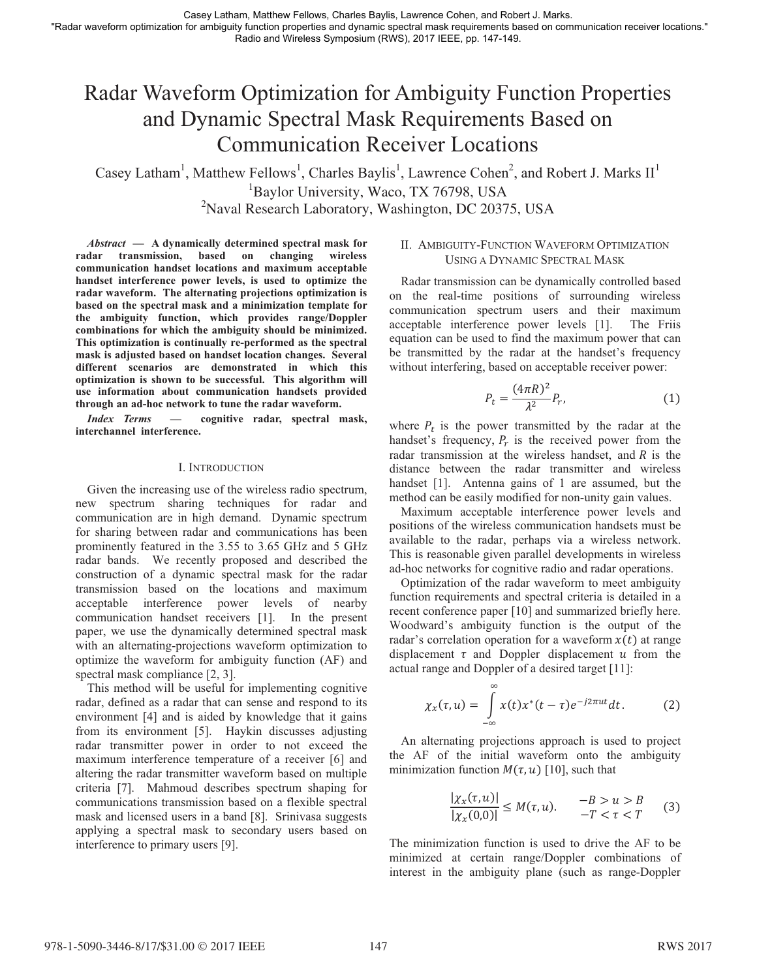# Radar Waveform Optimization for Ambiguity Function Properties and Dynamic Spectral Mask Requirements Based on Communication Receiver Locations

Casey Latham<sup>1</sup>, Matthew Fellows<sup>1</sup>, Charles Baylis<sup>1</sup>, Lawrence Cohen<sup>2</sup>, and Robert J. Marks II<sup>1</sup> <sup>1</sup>Baylor University, Waco, TX 76798, USA  $P<sup>2</sup>$ Naval Research Laboratory, Washington, DC 20375, USA

*Abstract* **— A dynamically determined spectral mask for radar transmission, based on changing wireless communication handset locations and maximum acceptable handset interference power levels, is used to optimize the radar waveform. The alternating projections optimization is based on the spectral mask and a minimization template for the ambiguity function, which provides range/Doppler combinations for which the ambiguity should be minimized. This optimization is continually re-performed as the spectral mask is adjusted based on handset location changes. Several different scenarios are demonstrated in which this optimization is shown to be successful. This algorithm will use information about communication handsets provided through an ad-hoc network to tune the radar waveform.** 

*Index Terms* **— cognitive radar, spectral mask, interchannel interference.**

## I. INTRODUCTION

Given the increasing use of the wireless radio spectrum, new spectrum sharing techniques for radar and communication are in high demand. Dynamic spectrum for sharing between radar and communications has been prominently featured in the 3.55 to 3.65 GHz and 5 GHz radar bands. We recently proposed and described the construction of a dynamic spectral mask for the radar transmission based on the locations and maximum acceptable interference power levels of nearby communication handset receivers [1]. In the present paper, we use the dynamically determined spectral mask with an alternating-projections waveform optimization to optimize the waveform for ambiguity function (AF) and spectral mask compliance [2, 3].

This method will be useful for implementing cognitive radar, defined as a radar that can sense and respond to its environment [4] and is aided by knowledge that it gains from its environment [5]. Haykin discusses adjusting radar transmitter power in order to not exceed the maximum interference temperature of a receiver [6] and altering the radar transmitter waveform based on multiple criteria [7]. Mahmoud describes spectrum shaping for communications transmission based on a flexible spectral mask and licensed users in a band [8]. Srinivasa suggests applying a spectral mask to secondary users based on interference to primary users [9].

# II. AMBIGUITY-FUNCTION WAVEFORM OPTIMIZATION USING A DYNAMIC SPECTRAL MASK

Radar transmission can be dynamically controlled based on the real-time positions of surrounding wireless communication spectrum users and their maximum acceptable interference power levels [1]. The Friis equation can be used to find the maximum power that can be transmitted by the radar at the handset's frequency without interfering, based on acceptable receiver power:

$$
P_t = \frac{(4\pi R)^2}{\lambda^2} P_r,\tag{1}
$$

where  $P_t$  is the power transmitted by the radar at the handset's frequency,  $P_r$  is the received power from the radar transmission at the wireless handset, and  $R$  is the distance between the radar transmitter and wireless handset [1]. Antenna gains of 1 are assumed, but the method can be easily modified for non-unity gain values.

Maximum acceptable interference power levels and positions of the wireless communication handsets must be available to the radar, perhaps via a wireless network. This is reasonable given parallel developments in wireless ad-hoc networks for cognitive radio and radar operations.

Optimization of the radar waveform to meet ambiguity function requirements and spectral criteria is detailed in a recent conference paper [10] and summarized briefly here. Woodward's ambiguity function is the output of the radar's correlation operation for a waveform  $x(t)$  at range displacement  $\tau$  and Doppler displacement  $u$  from the actual range and Doppler of a desired target [11]:

$$
\chi_x(\tau, u) = \int_{-\infty}^{\infty} x(t) x^*(t - \tau) e^{-j2\pi ut} dt.
$$
 (2)

An alternating projections approach is used to project the AF of the initial waveform onto the ambiguity minimization function  $M(\tau, u)$  [10], such that

$$
\frac{|\chi_x(\tau, u)|}{|\chi_x(0,0)|} \le M(\tau, u). \qquad \begin{array}{l} -B > u > B \\ -T < \tau < T \end{array} \tag{3}
$$

The minimization function is used to drive the AF to be minimized at certain range/Doppler combinations of interest in the ambiguity plane (such as range-Doppler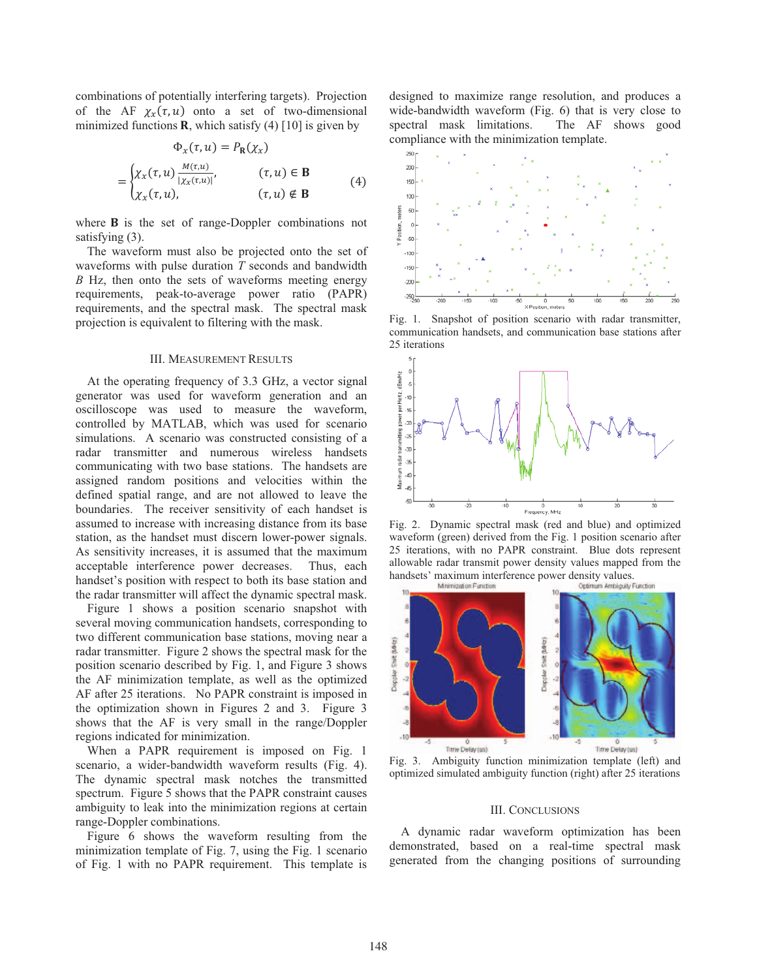combinations of potentially interfering targets). Projection of the AF  $\chi_x(\tau, u)$  onto a set of two-dimensional minimized functions  $\bf{R}$ , which satisfy (4) [10] is given by

$$
\Phi_x(\tau, u) = P_{\mathbf{R}}(\chi_x)
$$
  
= 
$$
\begin{cases} \chi_x(\tau, u) \frac{M(\tau, u)}{|\chi_x(\tau, u)|}, & (\tau, u) \in \mathbf{B} \\ \chi_x(\tau, u), & (\tau, u) \notin \mathbf{B} \end{cases}
$$
 (4)

where  $\bf{B}$  is the set of range-Doppler combinations not satisfying (3).

The waveform must also be projected onto the set of waveforms with pulse duration *T* seconds and bandwidth *B* Hz, then onto the sets of waveforms meeting energy requirements, peak-to-average power ratio (PAPR) requirements, and the spectral mask. The spectral mask projection is equivalent to filtering with the mask.

## III. MEASUREMENT RESULTS

At the operating frequency of 3.3 GHz, a vector signal generator was used for waveform generation and an oscilloscope was used to measure the waveform, controlled by MATLAB, which was used for scenario simulations. A scenario was constructed consisting of a radar transmitter and numerous wireless handsets communicating with two base stations. The handsets are assigned random positions and velocities within the defined spatial range, and are not allowed to leave the boundaries. The receiver sensitivity of each handset is assumed to increase with increasing distance from its base station, as the handset must discern lower-power signals. As sensitivity increases, it is assumed that the maximum acceptable interference power decreases. Thus, each handset's position with respect to both its base station and the radar transmitter will affect the dynamic spectral mask.

Figure 1 shows a position scenario snapshot with several moving communication handsets, corresponding to two different communication base stations, moving near a radar transmitter. Figure 2 shows the spectral mask for the position scenario described by Fig. 1, and Figure 3 shows the AF minimization template, as well as the optimized AF after 25 iterations. No PAPR constraint is imposed in the optimization shown in Figures 2 and 3. Figure 3 shows that the AF is very small in the range/Doppler regions indicated for minimization.

When a PAPR requirement is imposed on Fig. 1 scenario, a wider-bandwidth waveform results (Fig. 4). The dynamic spectral mask notches the transmitted spectrum. Figure 5 shows that the PAPR constraint causes ambiguity to leak into the minimization regions at certain range-Doppler combinations.

Figure 6 shows the waveform resulting from the minimization template of Fig. 7, using the Fig. 1 scenario of Fig. 1 with no PAPR requirement. This template is designed to maximize range resolution, and produces a wide-bandwidth waveform (Fig. 6) that is very close to spectral mask limitations. The AF shows good compliance with the minimization template.



Fig. 1. Snapshot of position scenario with radar transmitter, communication handsets, and communication base stations after 25 iterations



Fig. 2. Dynamic spectral mask (red and blue) and optimized waveform (green) derived from the Fig. 1 position scenario after 25 iterations, with no PAPR constraint. Blue dots represent allowable radar transmit power density values mapped from the handsets' maximum interference power density values.



Fig. 3. Ambiguity function minimization template (left) and optimized simulated ambiguity function (right) after 25 iterations

### III. CONCLUSIONS

A dynamic radar waveform optimization has been demonstrated, based on a real-time spectral mask generated from the changing positions of surrounding